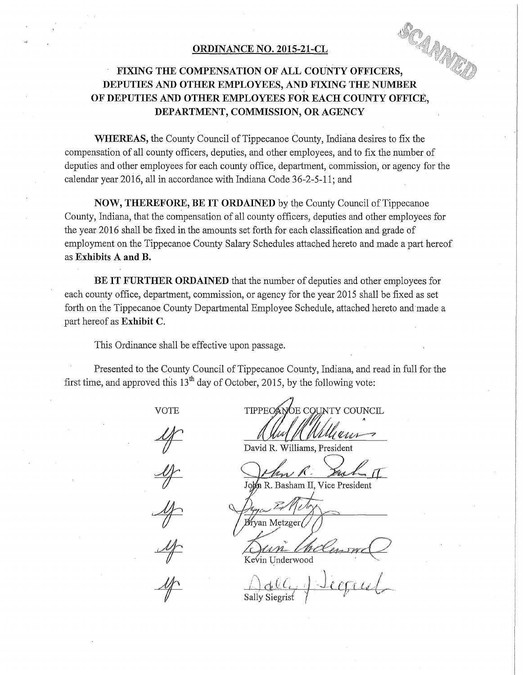#### **ORDINANCE NO. 2015-21-CL**

# **FIXING THE COMPENSATION OF ALL COUNTY OFFICERS, DEPUTIES AND OTHER EMPLOYEES, AND FIXING THE NUMBER OF DEPUTIES AND OTHER EMPLOYEES FOR EACH COUNTY OFFICE, DEPARTMENT, COMMISSION, OR AGENCY**

**WHEREAS,** the County Council of Tippecanoe County, Indiana desires to fix the compensation of all county officers, deputies, and other employees, and to fix the number of deputies and other employees for each county office, department, commission, or agency for the calendar year 2016, all in accordance with Indiana Code 36-2-5-11; and

**NOW, THEREFORE, BE IT ORDAINED** by the County Council of Tippecanoe County, Indiana, that the compensation of all county officers, deputies and other employees for the year 2016 shall be fixed in the amounts set forth for each classification and grade of employment on the Tippecanoe County Salary Schedules attached hereto and made a part hereof as **Exhibits A and B.** 

**BE IT FURTHER ORDAINED** that the number of deputies and other employees for each county office, department, commission, or agency for the year 2015 shall be fixed as set forth on the Tippecanoe County Departmental Employee Schedule, attached hereto and made a part hereof as **Exhibit C.** 

This Ordinance shall be effective upon passage.

Presented to the County Council of Tippecanoe County, Indiana, and read in full for the first time, and approved this  $13<sup>th</sup>$  day of October, 2015, by the following vote:

VOTE

TIPPECANOE COUNTY COUNCIL

David R. Williams, President

John R. Basham II, Vice President

Bryan Metzger/

Kevin Underwood

1 d (c, 1 . <u>Je egall</u>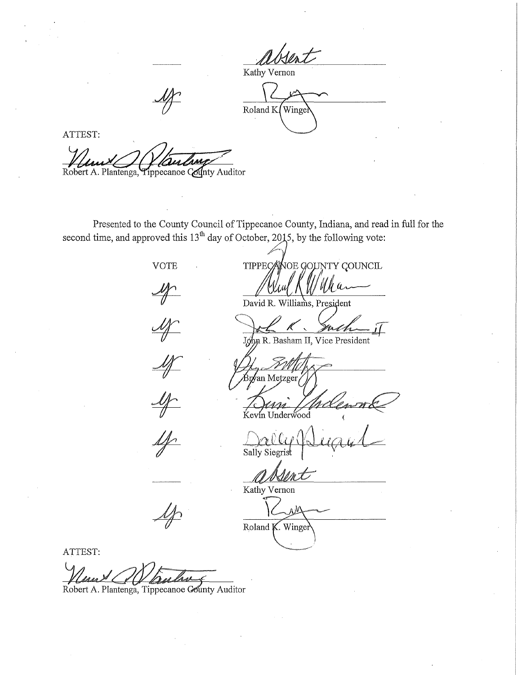Kathy Vernon

Roland K Wingel

ATTEST:

Robert A. Plantenga, Tippecanoe County Auditor

Presented to the County Council of Tippecanoe County, Indiana, and read in full for the second time, and approved this  $13^{\text{th}}$  day of October, 2015, by the following vote:



VOTE TIPPECANOE GOUNTY COUNCIL

David R. Williams, President

John R. Basham II, Vice President

,<br>Br∕an Metzger

n Underwood

Sally Siegrist

Kathy Vernon

ΛŅ Roland K. Winger

ATTEST:

Maurel Mauline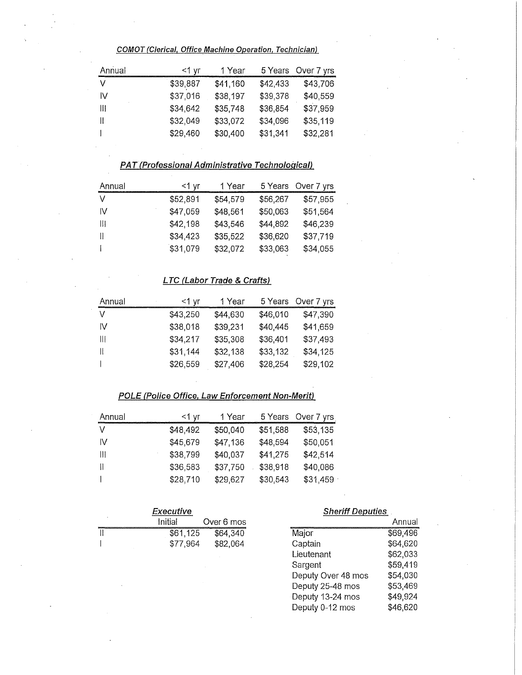**COMOT (Clerical, Office Machine Operation, Technician)** 

| Annual | <1 yr    | 1 Year   |          | 5 Years Over 7 yrs |
|--------|----------|----------|----------|--------------------|
| $\vee$ | \$39,887 | \$41,160 | \$42,433 | \$43,706           |
| -IV    | \$37,016 | \$38,197 | \$39,378 | \$40,559           |
| -111   | \$34,642 | \$35,748 | \$36,854 | \$37,959           |
| H      | \$32,049 | \$33,072 | \$34,096 | \$35,119           |
|        | \$29,460 | \$30,400 | \$31,341 | \$32,281           |

# **PAT(Professional Administrative Technological)**

| Annual | <1 vr    | 1 Year   |          | 5 Years Over 7 yrs |
|--------|----------|----------|----------|--------------------|
|        | \$52,891 | \$54,579 | \$56,267 | \$57,955           |
| -lv    | \$47,059 | \$48,561 | \$50,063 | \$51,564           |
| Ш      | \$42,198 | \$43,546 | \$44,892 | \$46,239           |
|        | \$34,423 | \$35,522 | \$36,620 | \$37,719           |
|        | \$31,079 | \$32,072 | \$33,063 | \$34,055           |

### **L TC (Labor Trade & Crafts)**

| Annual | $<$ 1 yr | 1 Year   | 5 Years  | Over 7 yrs |
|--------|----------|----------|----------|------------|
|        | \$43,250 | \$44,630 | \$46,010 | \$47,390   |
| IV     | \$38,018 | \$39,231 | \$40,445 | \$41,659   |
| Ш      | \$34,217 | \$35,308 | \$36,401 | \$37,493   |
|        | \$31,144 | \$32,138 | \$33,132 | \$34,125   |
|        | \$26,559 | \$27,406 | \$28,254 | \$29,102   |

#### **POLE (Police Office, Law Enforcement Non-Merit)**

| Annual        | <1 yr    | 1 Year   | 5 Years  | Over 7 yrs |
|---------------|----------|----------|----------|------------|
| $\vee$        | \$48,492 | \$50,040 | \$51,588 | \$53,135   |
| -lv           | \$45,679 | \$47,136 | \$48,594 | \$50,051   |
| $\mathbf{  }$ | \$38,799 | \$40,037 | \$41,275 | \$42,514   |
| H             | \$36,583 | \$37,750 | \$38,918 | \$40,086   |
|               | \$28,710 | \$29,627 | \$30,543 | \$31,459   |

| Executive |          |            |  |  |
|-----------|----------|------------|--|--|
| ٠         | Initial  | Over 6 mos |  |  |
|           | \$61,125 | \$64,340   |  |  |
|           | \$77.964 | \$82,064   |  |  |

#### **Sheriff Deputies**

|                    | Annual   |
|--------------------|----------|
| Major              | \$69,496 |
| Captain            | \$64,620 |
| Lieutenant         | \$62,033 |
| Sargent            | \$59,419 |
| Deputy Over 48 mos | \$54,030 |
| Deputy 25-48 mos   | \$53,469 |
| Deputy 13-24 mos   | \$49,924 |
| Deputy 0-12 mos    | \$46,620 |